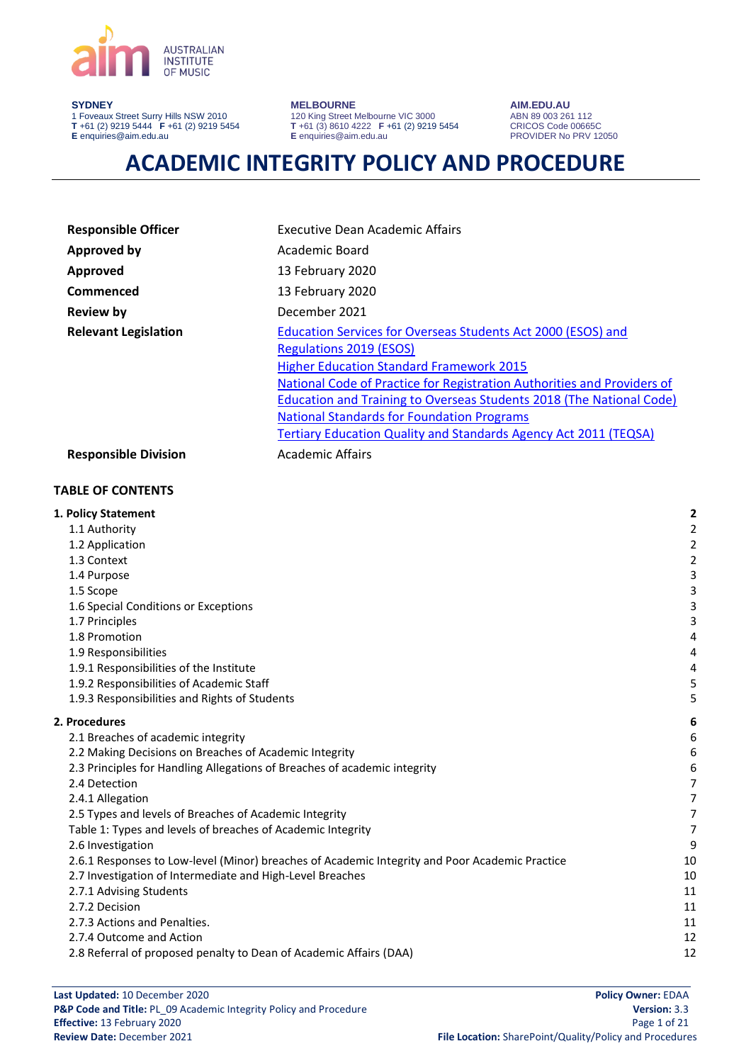

#### **SYDNEY**

1 Foveaux Street Surry Hills NSW 2010 **T** +61 (2) 9219 5444 **F** +61 (2) 9219 5454 **E** enquiries@aim.edu.au

#### **MELBOURNE**

120 King Street Melbourne VIC 3000 **T** +61 (3) 8610 4222 **F** +61 (2) 9219 5454 **E** enquiries@aim.edu.au

**AIM.EDU.AU** ABN 89 003 261 112 CRICOS Code 00665C PROVIDER No PRV 12050

# **ACADEMIC INTEGRITY POLICY AND PROCEDURE**

| <b>Responsible Officer</b>  | <b>Executive Dean Academic Affairs</b>                                                                                                                                                                                       |  |  |
|-----------------------------|------------------------------------------------------------------------------------------------------------------------------------------------------------------------------------------------------------------------------|--|--|
| <b>Approved by</b>          | Academic Board                                                                                                                                                                                                               |  |  |
| Approved                    | 13 February 2020                                                                                                                                                                                                             |  |  |
| Commenced                   | 13 February 2020                                                                                                                                                                                                             |  |  |
| <b>Review by</b>            | December 2021                                                                                                                                                                                                                |  |  |
| <b>Relevant Legislation</b> | Education Services for Overseas Students Act 2000 (ESOS) and<br><b>Regulations 2019 (ESOS)</b><br><b>Higher Education Standard Framework 2015</b><br>National Code of Practice for Registration Authorities and Providers of |  |  |
|                             | <b>Education and Training to Overseas Students 2018 (The National Code)</b><br><b>National Standards for Foundation Programs</b><br><b>Tertiary Education Quality and Standards Agency Act 2011 (TEQSA)</b>                  |  |  |
| <b>Responsible Division</b> | Academic Affairs                                                                                                                                                                                                             |  |  |
| <b>TABLE OF CONTENTS</b>    |                                                                                                                                                                                                                              |  |  |

| 1. Policy Statement                                                                            | 2                       |
|------------------------------------------------------------------------------------------------|-------------------------|
| 1.1 Authority                                                                                  | $\overline{\mathbf{c}}$ |
| 1.2 Application                                                                                | $\overline{\mathbf{c}}$ |
| 1.3 Context                                                                                    | $\overline{\mathbf{c}}$ |
| 1.4 Purpose                                                                                    | з                       |
| 1.5 Scope                                                                                      | 3                       |
| 1.6 Special Conditions or Exceptions                                                           | 3                       |
| 1.7 Principles                                                                                 | 3                       |
| 1.8 Promotion                                                                                  | 4                       |
| 1.9 Responsibilities                                                                           | 4                       |
| 1.9.1 Responsibilities of the Institute                                                        | 4                       |
| 1.9.2 Responsibilities of Academic Staff                                                       | 5                       |
| 1.9.3 Responsibilities and Rights of Students                                                  | 5                       |
| 2. Procedures                                                                                  | 6                       |
| 2.1 Breaches of academic integrity                                                             | 6                       |
| 2.2 Making Decisions on Breaches of Academic Integrity                                         | 6                       |
| 2.3 Principles for Handling Allegations of Breaches of academic integrity                      | 6                       |
| 2.4 Detection                                                                                  | 7                       |
| 2.4.1 Allegation                                                                               | 7                       |
| 2.5 Types and levels of Breaches of Academic Integrity                                         | 7                       |
| Table 1: Types and levels of breaches of Academic Integrity                                    | 7                       |
| 2.6 Investigation                                                                              | 9                       |
| 2.6.1 Responses to Low-level (Minor) breaches of Academic Integrity and Poor Academic Practice | 10                      |
| 2.7 Investigation of Intermediate and High-Level Breaches                                      | 10                      |
| 2.7.1 Advising Students                                                                        | 11                      |
| 2.7.2 Decision                                                                                 | 11                      |
| 2.7.3 Actions and Penalties.                                                                   | 11                      |
| 2.7.4 Outcome and Action                                                                       | 12                      |
| 2.8 Referral of proposed penalty to Dean of Academic Affairs (DAA)                             | 12                      |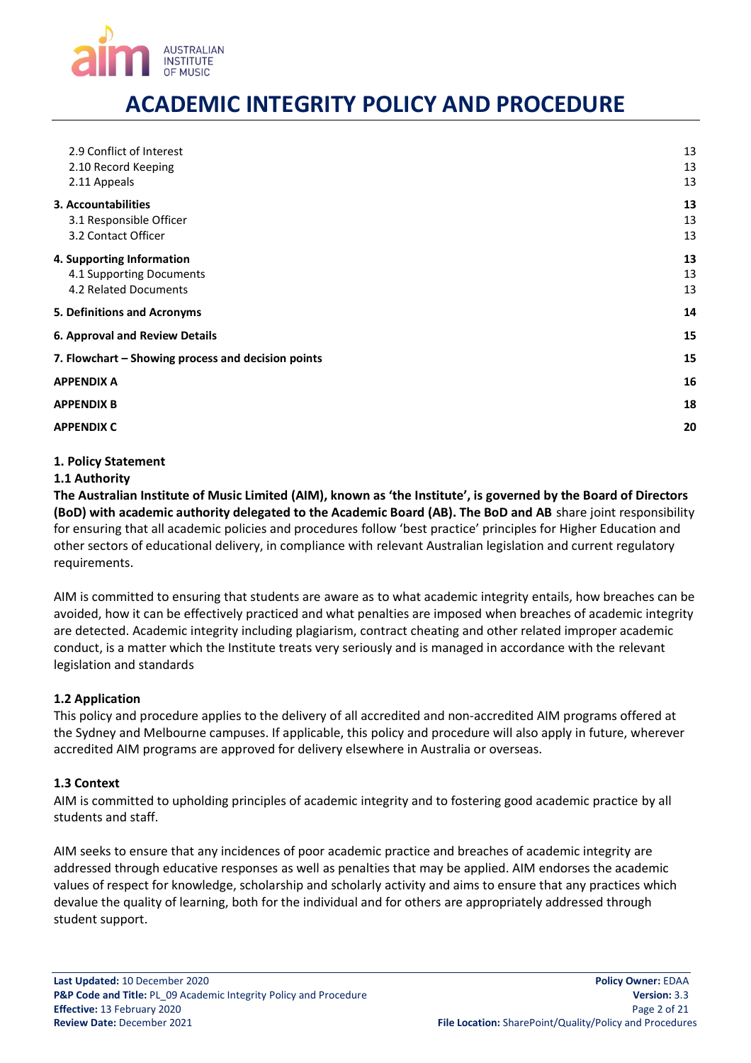

| 2.9 Conflict of Interest<br>2.10 Record Keeping<br>2.11 Appeals                | 13<br>13<br>13 |
|--------------------------------------------------------------------------------|----------------|
| 3. Accountabilities<br>3.1 Responsible Officer<br>3.2 Contact Officer          | 13<br>13<br>13 |
| 4. Supporting Information<br>4.1 Supporting Documents<br>4.2 Related Documents | 13<br>13<br>13 |
| 5. Definitions and Acronyms                                                    | 14             |
| <b>6. Approval and Review Details</b>                                          | 15             |
| 7. Flowchart - Showing process and decision points                             | 15             |
| APPENDIX A                                                                     | 16             |
| <b>APPENDIX B</b>                                                              | 18             |
| <b>APPENDIX C</b>                                                              | 20             |
|                                                                                |                |

#### <span id="page-1-0"></span>**1. Policy Statement**

#### <span id="page-1-1"></span>**1.1 Authority**

**The Australian Institute of Music Limited (AIM), known as 'the Institute', is governed by the Board of Directors (BoD) with academic authority delegated to the Academic Board (AB). The BoD and AB** share joint responsibility for ensuring that all academic policies and procedures follow 'best practice' principles for Higher Education and other sectors of educational delivery, in compliance with relevant Australian legislation and current regulatory requirements.

AIM is committed to ensuring that students are aware as to what academic integrity entails, how breaches can be avoided, how it can be effectively practiced and what penalties are imposed when breaches of academic integrity are detected. Academic integrity including plagiarism, contract cheating and other related improper academic conduct, is a matter which the Institute treats very seriously and is managed in accordance with the relevant legislation and standards

### <span id="page-1-2"></span>**1.2 Application**

This policy and procedure applies to the delivery of all accredited and non-accredited AIM programs offered at the Sydney and Melbourne campuses. If applicable, this policy and procedure will also apply in future, wherever accredited AIM programs are approved for delivery elsewhere in Australia or overseas.

#### <span id="page-1-3"></span>**1.3 Context**

AIM is committed to upholding principles of academic integrity and to fostering good academic practice by all students and staff.

AIM seeks to ensure that any incidences of poor academic practice and breaches of academic integrity are addressed through educative responses as well as penalties that may be applied. AIM endorses the academic values of respect for knowledge, scholarship and scholarly activity and aims to ensure that any practices which devalue the quality of learning, both for the individual and for others are appropriately addressed through student support.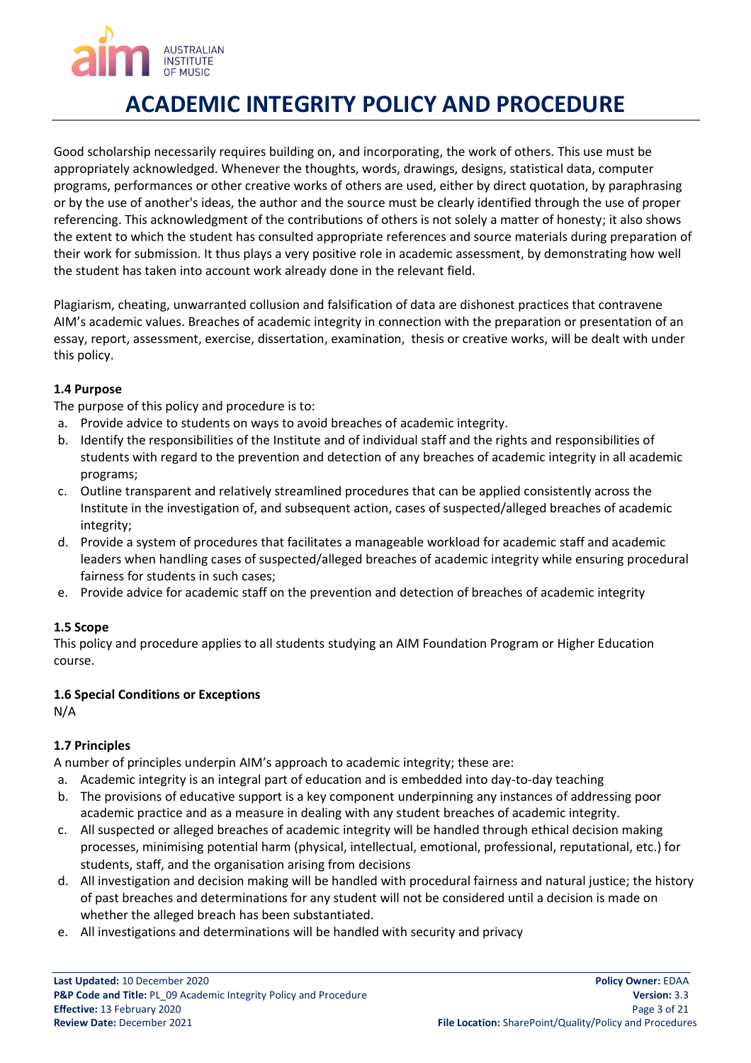# **AUSTRALIAN INSTITUTE**

# **ACADEMIC INTEGRITY POLICY AND PROCEDURE**

Good scholarship necessarily requires building on, and incorporating, the work of others. This use must be appropriately acknowledged. Whenever the thoughts, words, drawings, designs, statistical data, computer programs, performances or other creative works of others are used, either by direct quotation, by paraphrasing or by the use of another's ideas, the author and the source must be clearly identified through the use of proper referencing. This acknowledgment of the contributions of others is not solely a matter of honesty; it also shows the extent to which the student has consulted appropriate references and source materials during preparation of their work for submission. It thus plays a very positive role in academic assessment, by demonstrating how well the student has taken into account work already done in the relevant field.

Plagiarism, cheating, unwarranted collusion and falsification of data are dishonest practices that contravene AIM's academic values. Breaches of academic integrity in connection with the preparation or presentation of an essay, report, assessment, exercise, dissertation, examination, thesis or creative works, will be dealt with under this policy.

# <span id="page-2-0"></span>**1.4 Purpose**

The purpose of this policy and procedure is to:

- a. Provide advice to students on ways to avoid breaches of academic integrity.
- b. Identify the responsibilities of the Institute and of individual staff and the rights and responsibilities of students with regard to the prevention and detection of any breaches of academic integrity in all academic programs;
- c. Outline transparent and relatively streamlined procedures that can be applied consistently across the Institute in the investigation of, and subsequent action, cases of suspected/alleged breaches of academic integrity;
- d. Provide a system of procedures that facilitates a manageable workload for academic staff and academic leaders when handling cases of suspected/alleged breaches of academic integrity while ensuring procedural fairness for students in such cases;
- e. Provide advice for academic staff on the prevention and detection of breaches of academic integrity

# <span id="page-2-1"></span>**1.5 Scope**

This policy and procedure applies to all students studying an AIM Foundation Program or Higher Education course.

# <span id="page-2-2"></span>**1.6 Special Conditions or Exceptions**

N/A

# <span id="page-2-3"></span>**1.7 Principles**

A number of principles underpin AIM's approach to academic integrity; these are:

- a. Academic integrity is an integral part of education and is embedded into day-to-day teaching
- b. The provisions of educative support is a key component underpinning any instances of addressing poor academic practice and as a measure in dealing with any student breaches of academic integrity.
- c. All suspected or alleged breaches of academic integrity will be handled through ethical decision making processes, minimising potential harm (physical, intellectual, emotional, professional, reputational, etc.) for students, staff, and the organisation arising from decisions
- d. All investigation and decision making will be handled with procedural fairness and natural justice; the history of past breaches and determinations for any student will not be considered until a decision is made on whether the alleged breach has been substantiated.
- e. All investigations and determinations will be handled with security and privacy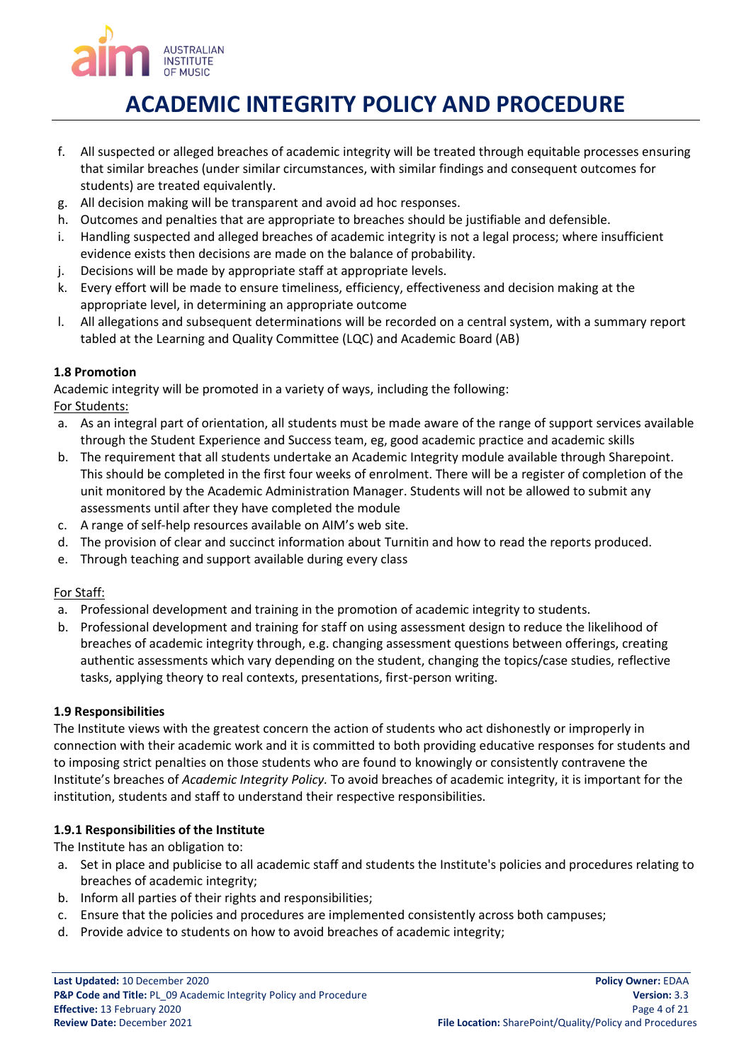

- f. All suspected or alleged breaches of academic integrity will be treated through equitable processes ensuring that similar breaches (under similar circumstances, with similar findings and consequent outcomes for students) are treated equivalently.
- g. All decision making will be transparent and avoid ad hoc responses.
- h. Outcomes and penalties that are appropriate to breaches should be justifiable and defensible.
- i. Handling suspected and alleged breaches of academic integrity is not a legal process; where insufficient evidence exists then decisions are made on the balance of probability.
- j. Decisions will be made by appropriate staff at appropriate levels.
- k. Every effort will be made to ensure timeliness, efficiency, effectiveness and decision making at the appropriate level, in determining an appropriate outcome
- l. All allegations and subsequent determinations will be recorded on a central system, with a summary report tabled at the Learning and Quality Committee (LQC) and Academic Board (AB)

### <span id="page-3-0"></span>**1.8 Promotion**

Academic integrity will be promoted in a variety of ways, including the following:

For Students:

- a. As an integral part of orientation, all students must be made aware of the range of support services available through the Student Experience and Success team, eg, good academic practice and academic skills
- b. The requirement that all students undertake an Academic Integrity module available through Sharepoint. This should be completed in the first four weeks of enrolment. There will be a register of completion of the unit monitored by the Academic Administration Manager. Students will not be allowed to submit any assessments until after they have completed the module
- c. A range of self-help resources available on AIM's web site.
- d. The provision of clear and succinct information about Turnitin and how to read the reports produced.
- e. Through teaching and support available during every class

### For Staff:

- a. Professional development and training in the promotion of academic integrity to students.
- b. Professional development and training for staff on using assessment design to reduce the likelihood of breaches of academic integrity through, e.g. changing assessment questions between offerings, creating authentic assessments which vary depending on the student, changing the topics/case studies, reflective tasks, applying theory to real contexts, presentations, first-person writing.

### <span id="page-3-1"></span>**1.9 Responsibilities**

The Institute views with the greatest concern the action of students who act dishonestly or improperly in connection with their academic work and it is committed to both providing educative responses for students and to imposing strict penalties on those students who are found to knowingly or consistently contravene the Institute's breaches of *Academic Integrity Policy.* To avoid breaches of academic integrity, it is important for the institution, students and staff to understand their respective responsibilities.

### <span id="page-3-2"></span>**1.9.1 Responsibilities of the Institute**

The Institute has an obligation to:

- a. Set in place and publicise to all academic staff and students the Institute's policies and procedures relating to breaches of academic integrity;
- b. Inform all parties of their rights and responsibilities;
- c. Ensure that the policies and procedures are implemented consistently across both campuses;
- d. Provide advice to students on how to avoid breaches of academic integrity;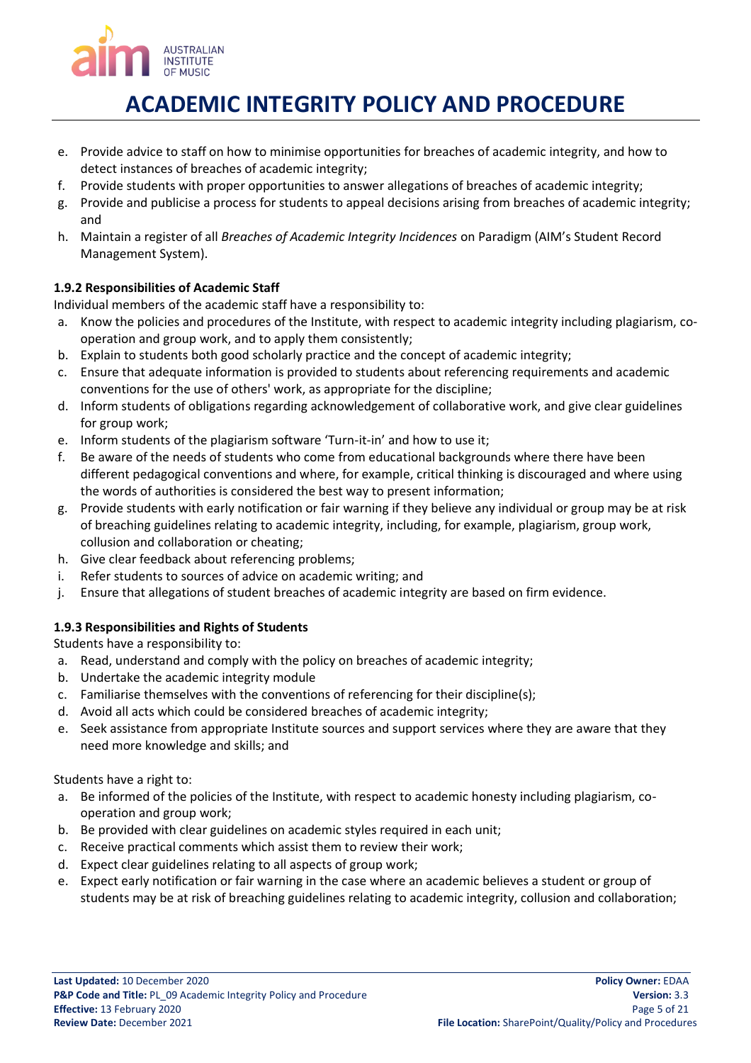

- e. Provide advice to staff on how to minimise opportunities for breaches of academic integrity, and how to detect instances of breaches of academic integrity;
- f. Provide students with proper opportunities to answer allegations of breaches of academic integrity;
- g. Provide and publicise a process for students to appeal decisions arising from breaches of academic integrity; and
- h. Maintain a register of all *Breaches of Academic Integrity Incidences* on Paradigm (AIM's Student Record Management System).

# <span id="page-4-0"></span>**1.9.2 Responsibilities of Academic Staff**

Individual members of the academic staff have a responsibility to:

- a. Know the policies and procedures of the Institute, with respect to academic integrity including plagiarism, cooperation and group work, and to apply them consistently;
- b. Explain to students both good scholarly practice and the concept of academic integrity;
- c. Ensure that adequate information is provided to students about referencing requirements and academic conventions for the use of others' work, as appropriate for the discipline;
- d. Inform students of obligations regarding acknowledgement of collaborative work, and give clear guidelines for group work;
- e. Inform students of the plagiarism software 'Turn-it-in' and how to use it;
- f. Be aware of the needs of students who come from educational backgrounds where there have been different pedagogical conventions and where, for example, critical thinking is discouraged and where using the words of authorities is considered the best way to present information;
- g. Provide students with early notification or fair warning if they believe any individual or group may be at risk of breaching guidelines relating to academic integrity, including, for example, plagiarism, group work, collusion and collaboration or cheating;
- h. Give clear feedback about referencing problems;
- i. Refer students to sources of advice on academic writing; and
- j. Ensure that allegations of student breaches of academic integrity are based on firm evidence.

# <span id="page-4-1"></span>**1.9.3 Responsibilities and Rights of Students**

Students have a responsibility to:

- a. Read, understand and comply with the policy on breaches of academic integrity;
- b. Undertake the academic integrity module
- c. Familiarise themselves with the conventions of referencing for their discipline(s);
- d. Avoid all acts which could be considered breaches of academic integrity;
- e. Seek assistance from appropriate Institute sources and support services where they are aware that they need more knowledge and skills; and

Students have a right to:

- a. Be informed of the policies of the Institute, with respect to academic honesty including plagiarism, cooperation and group work;
- b. Be provided with clear guidelines on academic styles required in each unit;
- c. Receive practical comments which assist them to review their work;
- d. Expect clear guidelines relating to all aspects of group work;
- e. Expect early notification or fair warning in the case where an academic believes a student or group of students may be at risk of breaching guidelines relating to academic integrity, collusion and collaboration;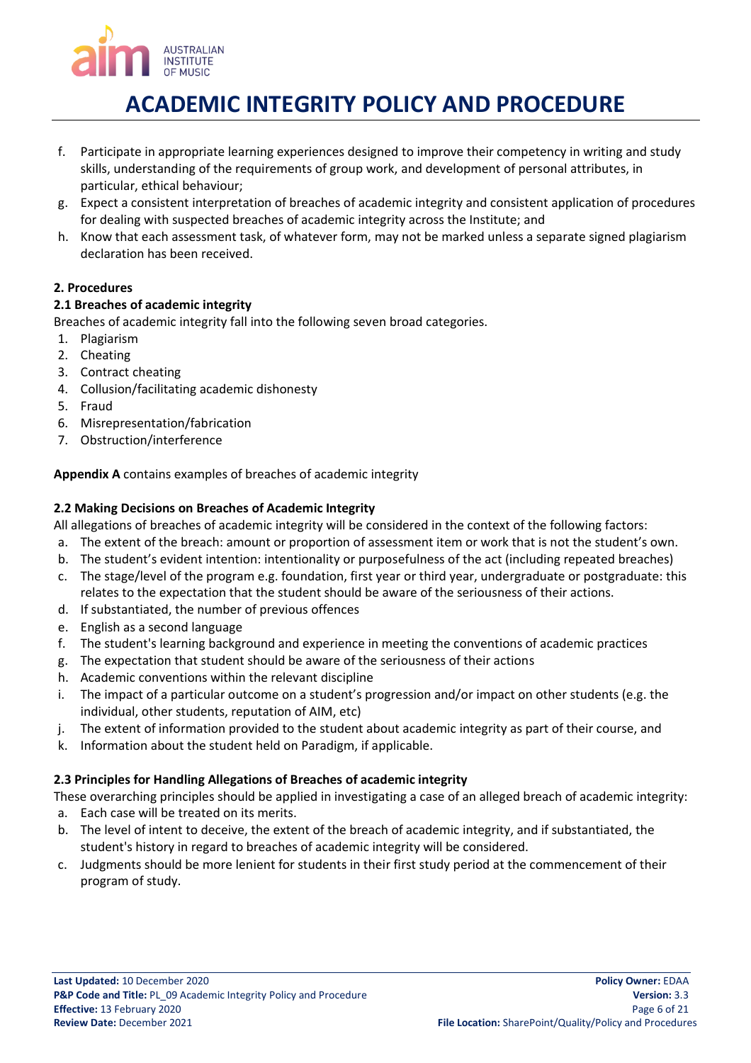

- f. Participate in appropriate learning experiences designed to improve their competency in writing and study skills, understanding of the requirements of group work, and development of personal attributes, in particular, ethical behaviour;
- g. Expect a consistent interpretation of breaches of academic integrity and consistent application of procedures for dealing with suspected breaches of academic integrity across the Institute; and
- h. Know that each assessment task, of whatever form, may not be marked unless a separate signed plagiarism declaration has been received.

# <span id="page-5-0"></span>**2. Procedures**

### <span id="page-5-1"></span>**2.1 Breaches of academic integrity**

Breaches of academic integrity fall into the following seven broad categories.

- 1. Plagiarism
- 2. Cheating
- 3. Contract cheating
- 4. Collusion/facilitating academic dishonesty
- 5. Fraud
- 6. Misrepresentation/fabrication
- 7. Obstruction/interference

# **Appendix A** contains examples of breaches of academic integrity

### <span id="page-5-2"></span>**2.2 Making Decisions on Breaches of Academic Integrity**

All allegations of breaches of academic integrity will be considered in the context of the following factors:

- a. The extent of the breach: amount or proportion of assessment item or work that is not the student's own.
- b. The student's evident intention: intentionality or purposefulness of the act (including repeated breaches)
- c. The stage/level of the program e.g. foundation, first year or third year, undergraduate or postgraduate: this relates to the expectation that the student should be aware of the seriousness of their actions.
- d. If substantiated, the number of previous offences
- e. English as a second language
- f. The student's learning background and experience in meeting the conventions of academic practices
- g. The expectation that student should be aware of the seriousness of their actions
- h. Academic conventions within the relevant discipline
- i. The impact of a particular outcome on a student's progression and/or impact on other students (e.g. the individual, other students, reputation of AIM, etc)
- j. The extent of information provided to the student about academic integrity as part of their course, and
- k. Information about the student held on Paradigm, if applicable.

### <span id="page-5-3"></span>**2.3 Principles for Handling Allegations of Breaches of academic integrity**

These overarching principles should be applied in investigating a case of an alleged breach of academic integrity:

- a. Each case will be treated on its merits.
- b. The level of intent to deceive, the extent of the breach of academic integrity, and if substantiated, the student's history in regard to breaches of academic integrity will be considered.
- c. Judgments should be more lenient for students in their first study period at the commencement of their program of study.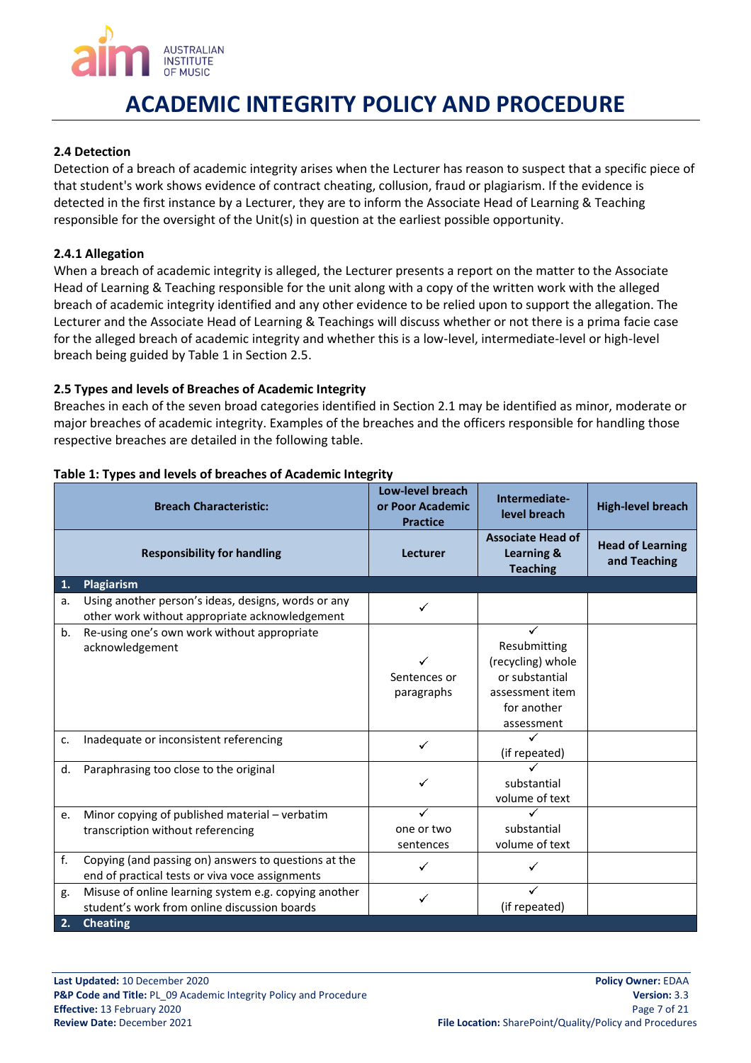

### <span id="page-6-0"></span>**2.4 Detection**

Detection of a breach of academic integrity arises when the Lecturer has reason to suspect that a specific piece of that student's work shows evidence of contract cheating, collusion, fraud or plagiarism. If the evidence is detected in the first instance by a Lecturer, they are to inform the Associate Head of Learning & Teaching responsible for the oversight of the Unit(s) in question at the earliest possible opportunity.

#### <span id="page-6-1"></span>**2.4.1 Allegation**

When a breach of academic integrity is alleged, the Lecturer presents a report on the matter to the Associate Head of Learning & Teaching responsible for the unit along with a copy of the written work with the alleged breach of academic integrity identified and any other evidence to be relied upon to support the allegation. The Lecturer and the Associate Head of Learning & Teachings will discuss whether or not there is a prima facie case for the alleged breach of academic integrity and whether this is a low-level, intermediate-level or high-level breach being guided by Table 1 in Section 2.5.

### <span id="page-6-2"></span>**2.5 Types and levels of Breaches of Academic Integrity**

Breaches in each of the seven broad categories identified in Section 2.1 may be identified as minor, moderate or major breaches of academic integrity. Examples of the breaches and the officers responsible for handling those respective breaches are detailed in the following table.

| <b>Breach Characteristic:</b> |                                                                                                         | Low-level breach<br>or Poor Academic<br><b>Practice</b> | Intermediate-<br>level breach                                                                       | <b>High-level breach</b>                |
|-------------------------------|---------------------------------------------------------------------------------------------------------|---------------------------------------------------------|-----------------------------------------------------------------------------------------------------|-----------------------------------------|
|                               | <b>Responsibility for handling</b>                                                                      | Lecturer                                                | <b>Associate Head of</b><br>Learning &<br><b>Teaching</b>                                           | <b>Head of Learning</b><br>and Teaching |
| 1.                            | Plagiarism                                                                                              |                                                         |                                                                                                     |                                         |
| a.                            | Using another person's ideas, designs, words or any<br>other work without appropriate acknowledgement   |                                                         |                                                                                                     |                                         |
| b.                            | Re-using one's own work without appropriate<br>acknowledgement                                          | Sentences or<br>paragraphs                              | Resubmitting<br>(recycling) whole<br>or substantial<br>assessment item<br>for another<br>assessment |                                         |
| c.                            | Inadequate or inconsistent referencing                                                                  |                                                         | (if repeated)                                                                                       |                                         |
| d.                            | Paraphrasing too close to the original                                                                  |                                                         | substantial<br>volume of text                                                                       |                                         |
| e.                            | Minor copying of published material - verbatim<br>transcription without referencing                     | one or two<br>sentences                                 | substantial<br>volume of text                                                                       |                                         |
| f.                            | Copying (and passing on) answers to questions at the<br>end of practical tests or viva voce assignments |                                                         |                                                                                                     |                                         |
| g.                            | Misuse of online learning system e.g. copying another<br>student's work from online discussion boards   |                                                         | (if repeated)                                                                                       |                                         |
| 2.                            | <b>Cheating</b>                                                                                         |                                                         |                                                                                                     |                                         |

#### <span id="page-6-3"></span>**Table 1: Types and levels of breaches of Academic Integrity**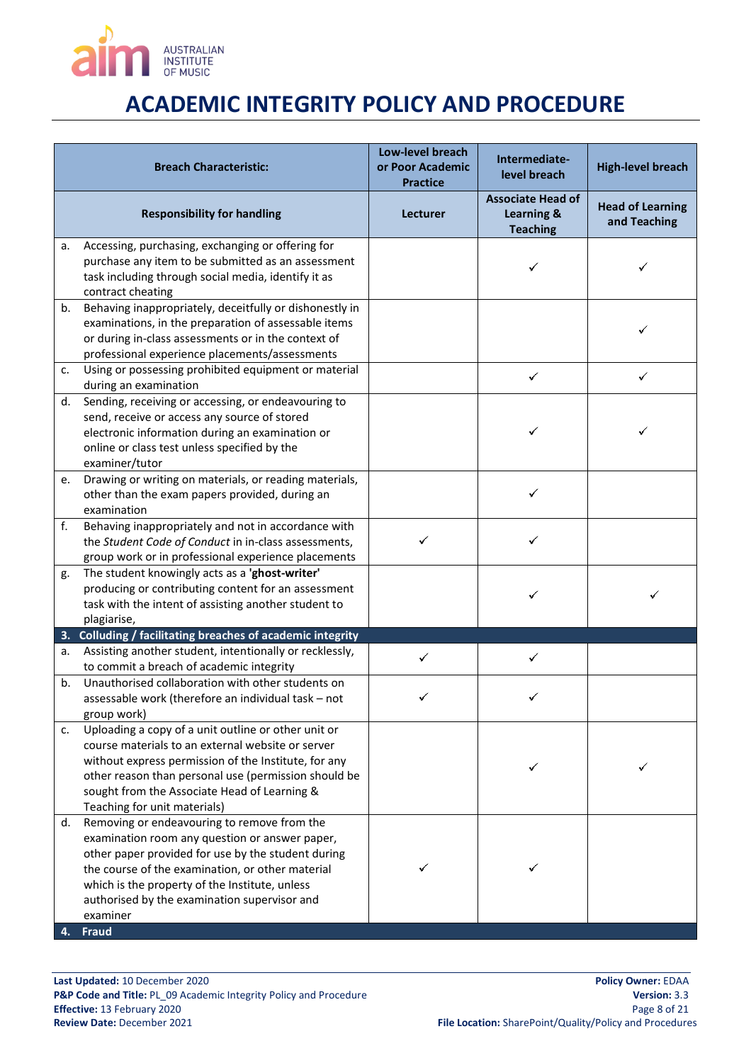

| <b>Breach Characteristic:</b> |                                                                                                                                                                                                                                                                                                                                       | Low-level breach<br>or Poor Academic<br><b>Practice</b> | Intermediate-<br>level breach                             | <b>High-level breach</b>                |
|-------------------------------|---------------------------------------------------------------------------------------------------------------------------------------------------------------------------------------------------------------------------------------------------------------------------------------------------------------------------------------|---------------------------------------------------------|-----------------------------------------------------------|-----------------------------------------|
|                               | <b>Responsibility for handling</b>                                                                                                                                                                                                                                                                                                    | Lecturer                                                | <b>Associate Head of</b><br>Learning &<br><b>Teaching</b> | <b>Head of Learning</b><br>and Teaching |
| а.                            | Accessing, purchasing, exchanging or offering for<br>purchase any item to be submitted as an assessment<br>task including through social media, identify it as<br>contract cheating                                                                                                                                                   |                                                         |                                                           | ✓                                       |
| b.                            | Behaving inappropriately, deceitfully or dishonestly in<br>examinations, in the preparation of assessable items<br>or during in-class assessments or in the context of<br>professional experience placements/assessments                                                                                                              |                                                         |                                                           | ✓                                       |
| c.                            | Using or possessing prohibited equipment or material<br>during an examination                                                                                                                                                                                                                                                         |                                                         | $\checkmark$                                              | ✓                                       |
| d.                            | Sending, receiving or accessing, or endeavouring to<br>send, receive or access any source of stored<br>electronic information during an examination or<br>online or class test unless specified by the<br>examiner/tutor                                                                                                              |                                                         |                                                           |                                         |
| e.                            | Drawing or writing on materials, or reading materials,<br>other than the exam papers provided, during an<br>examination                                                                                                                                                                                                               |                                                         | ✓                                                         |                                         |
| f.                            | Behaving inappropriately and not in accordance with<br>the Student Code of Conduct in in-class assessments,<br>group work or in professional experience placements                                                                                                                                                                    |                                                         |                                                           |                                         |
| g.                            | The student knowingly acts as a 'ghost-writer'<br>producing or contributing content for an assessment<br>task with the intent of assisting another student to<br>plagiarise,                                                                                                                                                          |                                                         |                                                           |                                         |
|                               | 3. Colluding / facilitating breaches of academic integrity                                                                                                                                                                                                                                                                            |                                                         |                                                           |                                         |
| а.                            | Assisting another student, intentionally or recklessly,<br>to commit a breach of academic integrity                                                                                                                                                                                                                                   |                                                         |                                                           |                                         |
| b.                            | Unauthorised collaboration with other students on<br>assessable work (therefore an individual task - not<br>group work)                                                                                                                                                                                                               |                                                         |                                                           |                                         |
| c.                            | Uploading a copy of a unit outline or other unit or<br>course materials to an external website or server<br>without express permission of the Institute, for any<br>other reason than personal use (permission should be<br>sought from the Associate Head of Learning &<br>Teaching for unit materials)                              |                                                         |                                                           |                                         |
| d.<br>4.                      | Removing or endeavouring to remove from the<br>examination room any question or answer paper,<br>other paper provided for use by the student during<br>the course of the examination, or other material<br>which is the property of the Institute, unless<br>authorised by the examination supervisor and<br>examiner<br><b>Fraud</b> |                                                         |                                                           |                                         |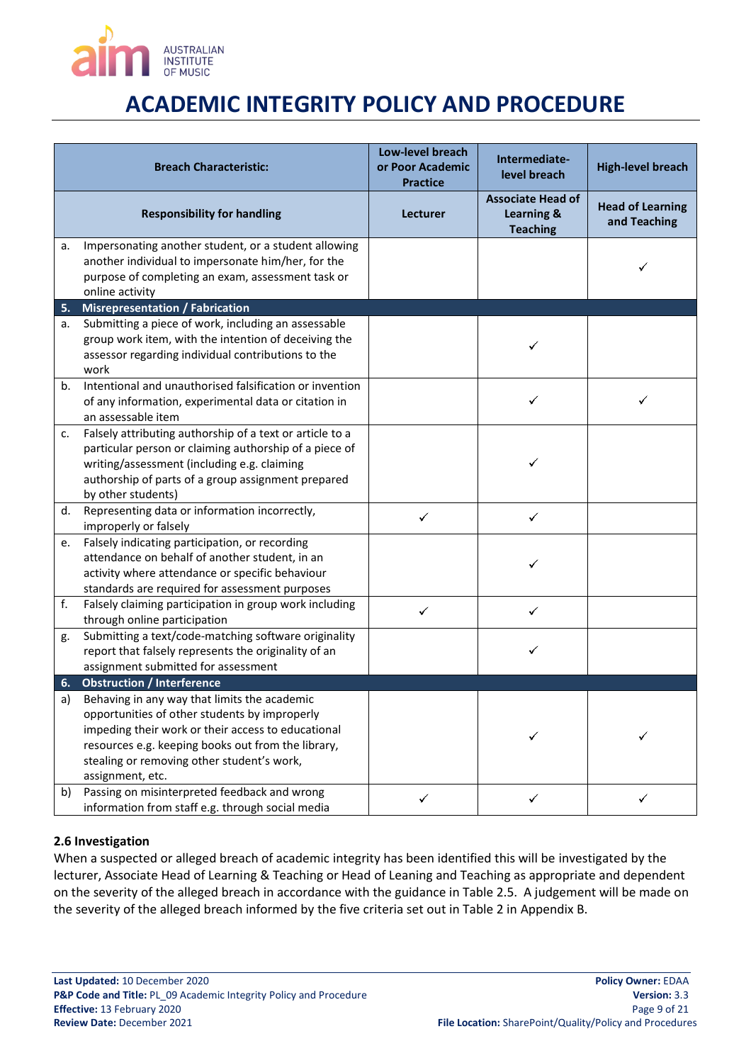

|    | <b>Breach Characteristic:</b>                                                                                                                                                                                                                                               | Low-level breach<br>or Poor Academic | Intermediate-                                             | <b>High-level breach</b>                |
|----|-----------------------------------------------------------------------------------------------------------------------------------------------------------------------------------------------------------------------------------------------------------------------------|--------------------------------------|-----------------------------------------------------------|-----------------------------------------|
|    |                                                                                                                                                                                                                                                                             | <b>Practice</b>                      | level breach                                              |                                         |
|    | <b>Responsibility for handling</b>                                                                                                                                                                                                                                          | Lecturer                             | <b>Associate Head of</b><br>Learning &<br><b>Teaching</b> | <b>Head of Learning</b><br>and Teaching |
| a. | Impersonating another student, or a student allowing<br>another individual to impersonate him/her, for the<br>purpose of completing an exam, assessment task or<br>online activity                                                                                          |                                      |                                                           |                                         |
| 5. | <b>Misrepresentation / Fabrication</b>                                                                                                                                                                                                                                      |                                      |                                                           |                                         |
| а. | Submitting a piece of work, including an assessable<br>group work item, with the intention of deceiving the<br>assessor regarding individual contributions to the<br>work                                                                                                   |                                      |                                                           |                                         |
| b. | Intentional and unauthorised falsification or invention<br>of any information, experimental data or citation in<br>an assessable item                                                                                                                                       |                                      | ✓                                                         | ✓                                       |
| c. | Falsely attributing authorship of a text or article to a<br>particular person or claiming authorship of a piece of<br>writing/assessment (including e.g. claiming<br>authorship of parts of a group assignment prepared<br>by other students)                               |                                      |                                                           |                                         |
| d. | Representing data or information incorrectly,<br>improperly or falsely                                                                                                                                                                                                      | ✓                                    | ✓                                                         |                                         |
| e. | Falsely indicating participation, or recording<br>attendance on behalf of another student, in an<br>activity where attendance or specific behaviour<br>standards are required for assessment purposes                                                                       |                                      | ✓                                                         |                                         |
| f. | Falsely claiming participation in group work including<br>through online participation                                                                                                                                                                                      | ✓                                    | ✓                                                         |                                         |
| g. | Submitting a text/code-matching software originality<br>report that falsely represents the originality of an<br>assignment submitted for assessment                                                                                                                         |                                      | ✓                                                         |                                         |
| 6. | <b>Obstruction / Interference</b>                                                                                                                                                                                                                                           |                                      |                                                           |                                         |
| a) | Behaving in any way that limits the academic<br>opportunities of other students by improperly<br>impeding their work or their access to educational<br>resources e.g. keeping books out from the library,<br>stealing or removing other student's work,<br>assignment, etc. |                                      |                                                           |                                         |
| b) | Passing on misinterpreted feedback and wrong<br>information from staff e.g. through social media                                                                                                                                                                            | ✓                                    | ✓                                                         |                                         |

### <span id="page-8-0"></span>**2.6 Investigation**

When a suspected or alleged breach of academic integrity has been identified this will be investigated by the lecturer, Associate Head of Learning & Teaching or Head of Leaning and Teaching as appropriate and dependent on the severity of the alleged breach in accordance with the guidance in Table 2.5. A judgement will be made on the severity of the alleged breach informed by the five criteria set out in Table 2 in Appendix B.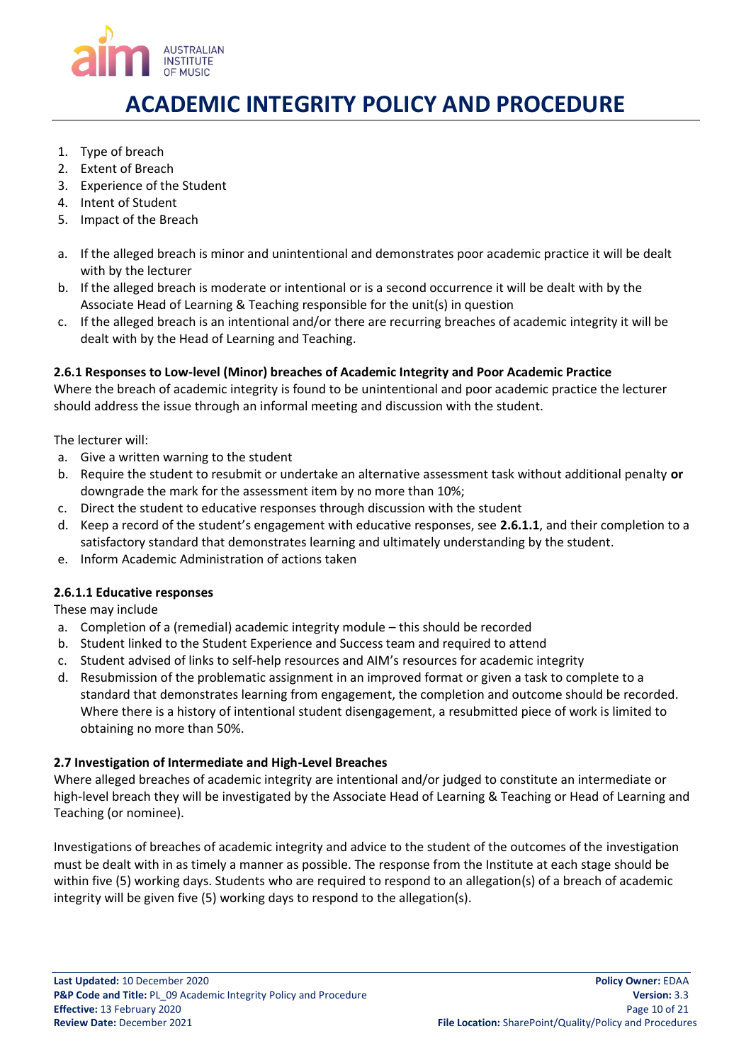

- 1. Type of breach
- 2. Extent of Breach
- 3. Experience of the Student
- 4. Intent of Student
- 5. Impact of the Breach
- a. If the alleged breach is minor and unintentional and demonstrates poor academic practice it will be dealt with by the lecturer
- b. If the alleged breach is moderate or intentional or is a second occurrence it will be dealt with by the Associate Head of Learning & Teaching responsible for the unit(s) in question
- c. If the alleged breach is an intentional and/or there are recurring breaches of academic integrity it will be dealt with by the Head of Learning and Teaching.

# <span id="page-9-0"></span>**2.6.1 Responses to Low-level (Minor) breaches of Academic Integrity and Poor Academic Practice**

Where the breach of academic integrity is found to be unintentional and poor academic practice the lecturer should address the issue through an informal meeting and discussion with the student.

The lecturer will:

- a. Give a written warning to the student
- b. Require the student to resubmit or undertake an alternative assessment task without additional penalty **or**  downgrade the mark for the assessment item by no more than 10%;
- c. Direct the student to educative responses through discussion with the student
- d. Keep a record of the student's engagement with educative responses, see **2.6.1.1**, and their completion to a satisfactory standard that demonstrates learning and ultimately understanding by the student.
- e. Inform Academic Administration of actions taken

### **2.6.1.1 Educative responses**

These may include

- a. Completion of a (remedial) academic integrity module this should be recorded
- b. Student linked to the Student Experience and Success team and required to attend
- c. Student advised of links to self-help resources and AIM's resources for academic integrity
- d. Resubmission of the problematic assignment in an improved format or given a task to complete to a standard that demonstrates learning from engagement, the completion and outcome should be recorded. Where there is a history of intentional student disengagement, a resubmitted piece of work is limited to obtaining no more than 50%.

### <span id="page-9-1"></span>**2.7 Investigation of Intermediate and High-Level Breaches**

Where alleged breaches of academic integrity are intentional and/or judged to constitute an intermediate or high-level breach they will be investigated by the Associate Head of Learning & Teaching or Head of Learning and Teaching (or nominee).

Investigations of breaches of academic integrity and advice to the student of the outcomes of the investigation must be dealt with in as timely a manner as possible. The response from the Institute at each stage should be within five (5) working days. Students who are required to respond to an allegation(s) of a breach of academic integrity will be given five (5) working days to respond to the allegation(s).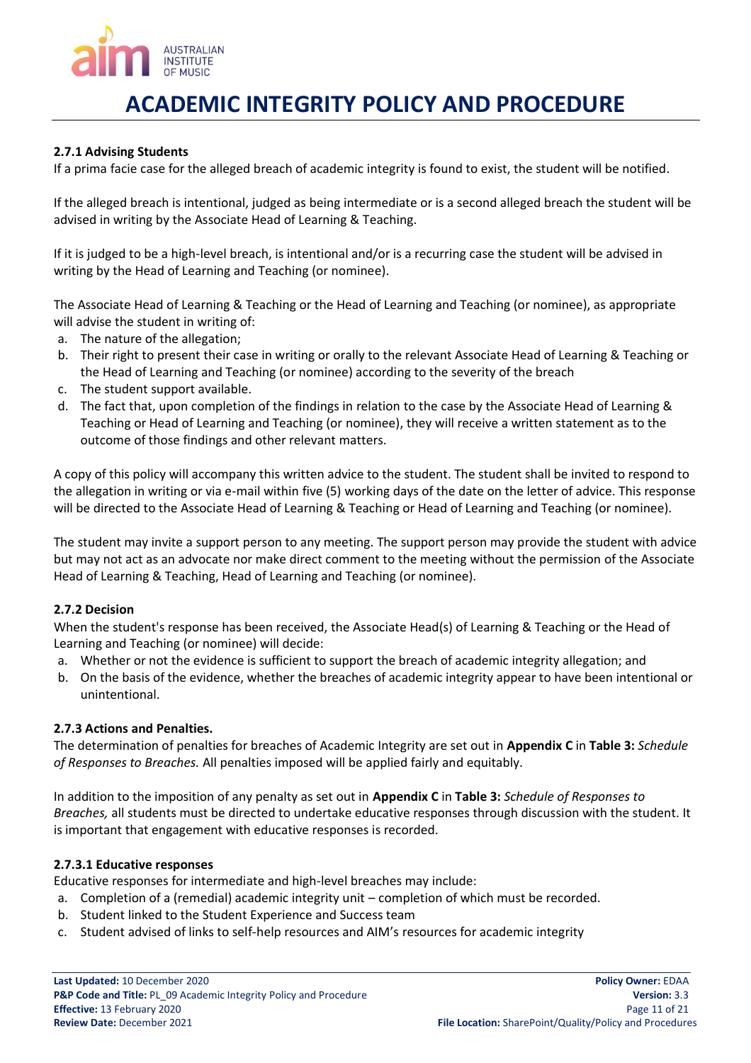

### <span id="page-10-0"></span>**2.7.1 Advising Students**

If a prima facie case for the alleged breach of academic integrity is found to exist, the student will be notified.

If the alleged breach is intentional, judged as being intermediate or is a second alleged breach the student will be advised in writing by the Associate Head of Learning & Teaching.

If it is judged to be a high-level breach, is intentional and/or is a recurring case the student will be advised in writing by the Head of Learning and Teaching (or nominee).

The Associate Head of Learning & Teaching or the Head of Learning and Teaching (or nominee), as appropriate will advise the student in writing of:

- a. The nature of the allegation;
- b. Their right to present their case in writing or orally to the relevant Associate Head of Learning & Teaching or the Head of Learning and Teaching (or nominee) according to the severity of the breach
- c. The student support available.
- d. The fact that, upon completion of the findings in relation to the case by the Associate Head of Learning & Teaching or Head of Learning and Teaching (or nominee), they will receive a written statement as to the outcome of those findings and other relevant matters.

A copy of this policy will accompany this written advice to the student. The student shall be invited to respond to the allegation in writing or via e-mail within five (5) working days of the date on the letter of advice. This response will be directed to the Associate Head of Learning & Teaching or Head of Learning and Teaching (or nominee).

The student may invite a support person to any meeting. The support person may provide the student with advice but may not act as an advocate nor make direct comment to the meeting without the permission of the Associate Head of Learning & Teaching, Head of Learning and Teaching (or nominee).

#### <span id="page-10-1"></span>**2.7.2 Decision**

When the student's response has been received, the Associate Head(s) of Learning & Teaching or the Head of Learning and Teaching (or nominee) will decide:

- a. Whether or not the evidence is sufficient to support the breach of academic integrity allegation; and
- b. On the basis of the evidence, whether the breaches of academic integrity appear to have been intentional or unintentional.

#### <span id="page-10-2"></span>**2.7.3 Actions and Penalties.**

The determination of penalties for breaches of Academic Integrity are set out in **Appendix C** in **Table 3:** *Schedule of Responses to Breaches.* All penalties imposed will be applied fairly and equitably.

In addition to the imposition of any penalty as set out in **Appendix C** in **Table 3:** *Schedule of Responses to Breaches,* all students must be directed to undertake educative responses through discussion with the student. It is important that engagement with educative responses is recorded.

#### **2.7.3.1 Educative responses**

Educative responses for intermediate and high-level breaches may include:

- a. Completion of a (remedial) academic integrity unit completion of which must be recorded.
- b. Student linked to the Student Experience and Success team
- c. Student advised of links to self-help resources and AIM's resources for academic integrity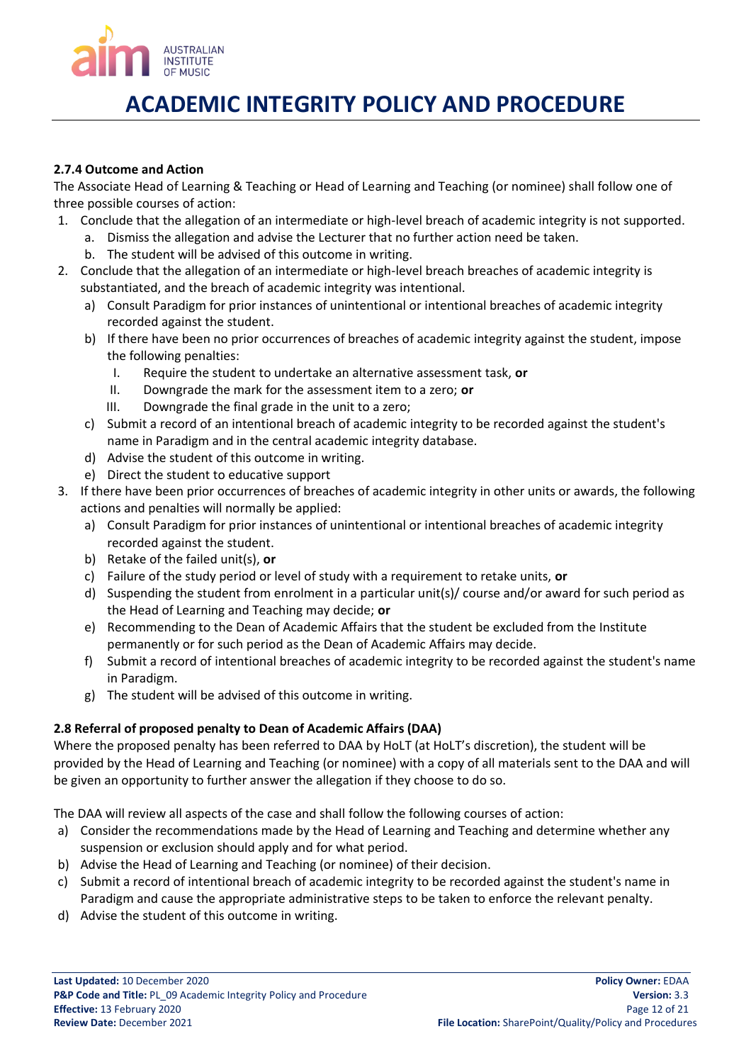

### <span id="page-11-0"></span>**2.7.4 Outcome and Action**

The Associate Head of Learning & Teaching or Head of Learning and Teaching (or nominee) shall follow one of three possible courses of action:

- 1. Conclude that the allegation of an intermediate or high-level breach of academic integrity is not supported.
	- a. Dismiss the allegation and advise the Lecturer that no further action need be taken.
	- b. The student will be advised of this outcome in writing.
- 2. Conclude that the allegation of an intermediate or high-level breach breaches of academic integrity is substantiated, and the breach of academic integrity was intentional.
	- a) Consult Paradigm for prior instances of unintentional or intentional breaches of academic integrity recorded against the student.
	- b) If there have been no prior occurrences of breaches of academic integrity against the student, impose the following penalties:
		- I. Require the student to undertake an alternative assessment task, **or**
		- II. Downgrade the mark for the assessment item to a zero; **or**
		- III. Downgrade the final grade in the unit to a zero;
	- c) Submit a record of an intentional breach of academic integrity to be recorded against the student's name in Paradigm and in the central academic integrity database.
	- d) Advise the student of this outcome in writing.
	- e) Direct the student to educative support
- 3. If there have been prior occurrences of breaches of academic integrity in other units or awards, the following actions and penalties will normally be applied:
	- a) Consult Paradigm for prior instances of unintentional or intentional breaches of academic integrity recorded against the student.
	- b) Retake of the failed unit(s), **or**
	- c) Failure of the study period or level of study with a requirement to retake units, **or**
	- d) Suspending the student from enrolment in a particular unit(s)/ course and/or award for such period as the Head of Learning and Teaching may decide; **or**
	- e) Recommending to the Dean of Academic Affairs that the student be excluded from the Institute permanently or for such period as the Dean of Academic Affairs may decide.
	- f) Submit a record of intentional breaches of academic integrity to be recorded against the student's name in Paradigm.
	- g) The student will be advised of this outcome in writing.

# <span id="page-11-1"></span>**2.8 Referral of proposed penalty to Dean of Academic Affairs (DAA)**

Where the proposed penalty has been referred to DAA by HoLT (at HoLT's discretion), the student will be provided by the Head of Learning and Teaching (or nominee) with a copy of all materials sent to the DAA and will be given an opportunity to further answer the allegation if they choose to do so.

The DAA will review all aspects of the case and shall follow the following courses of action:

- a) Consider the recommendations made by the Head of Learning and Teaching and determine whether any suspension or exclusion should apply and for what period.
- b) Advise the Head of Learning and Teaching (or nominee) of their decision.
- c) Submit a record of intentional breach of academic integrity to be recorded against the student's name in Paradigm and cause the appropriate administrative steps to be taken to enforce the relevant penalty.
- d) Advise the student of this outcome in writing.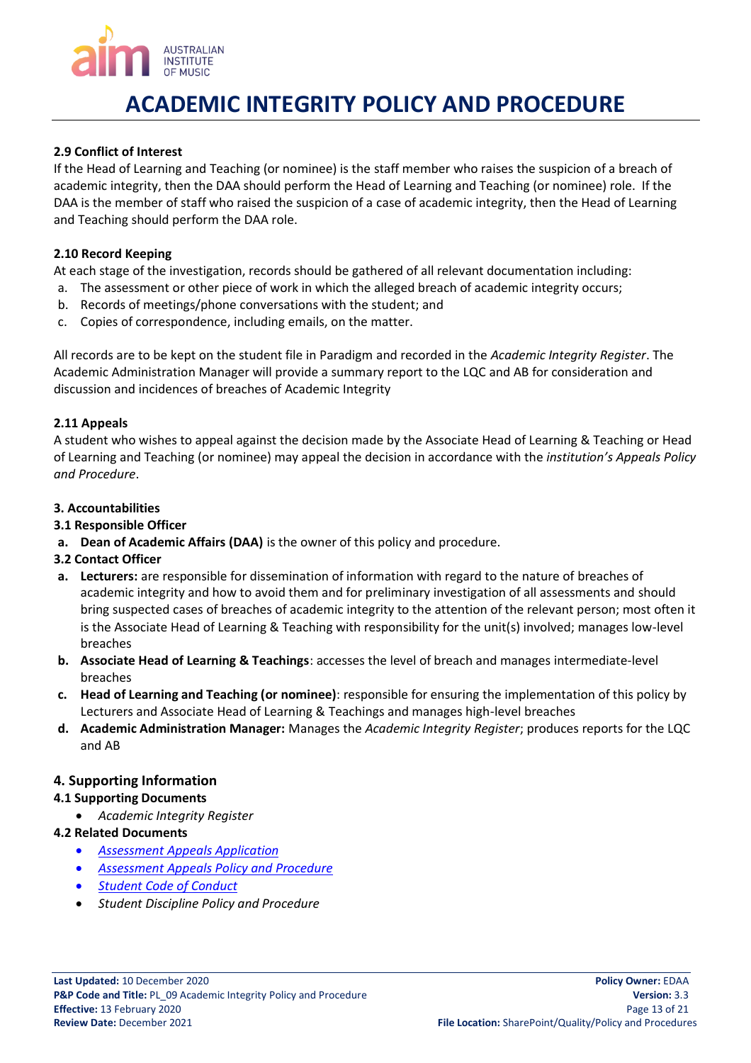

### <span id="page-12-0"></span>**2.9 Conflict of Interest**

If the Head of Learning and Teaching (or nominee) is the staff member who raises the suspicion of a breach of academic integrity, then the DAA should perform the Head of Learning and Teaching (or nominee) role. If the DAA is the member of staff who raised the suspicion of a case of academic integrity, then the Head of Learning and Teaching should perform the DAA role.

#### <span id="page-12-1"></span>**2.10 Record Keeping**

At each stage of the investigation, records should be gathered of all relevant documentation including:

- a. The assessment or other piece of work in which the alleged breach of academic integrity occurs;
- b. Records of meetings/phone conversations with the student; and
- c. Copies of correspondence, including emails, on the matter.

All records are to be kept on the student file in Paradigm and recorded in the *Academic Integrity Register*. The Academic Administration Manager will provide a summary report to the LQC and AB for consideration and discussion and incidences of breaches of Academic Integrity

### <span id="page-12-2"></span>**2.11 Appeals**

A student who wishes to appeal against the decision made by the Associate Head of Learning & Teaching or Head of Learning and Teaching (or nominee) may appeal the decision in accordance with the *institution's Appeals Policy and Procedure*.

### <span id="page-12-3"></span>**3. Accountabilities**

### <span id="page-12-4"></span>**3.1 Responsible Officer**

**a. Dean of Academic Affairs (DAA)** is the owner of this policy and procedure.

### <span id="page-12-5"></span>**3.2 Contact Officer**

- **a. Lecturers:** are responsible for dissemination of information with regard to the nature of breaches of academic integrity and how to avoid them and for preliminary investigation of all assessments and should bring suspected cases of breaches of academic integrity to the attention of the relevant person; most often it is the Associate Head of Learning & Teaching with responsibility for the unit(s) involved; manages low-level breaches
- **b. Associate Head of Learning & Teachings**: accesses the level of breach and manages intermediate-level breaches
- **c. Head of Learning and Teaching (or nominee)**: responsible for ensuring the implementation of this policy by Lecturers and Associate Head of Learning & Teachings and manages high-level breaches
- **d. Academic Administration Manager:** Manages the *Academic Integrity Register*; produces reports for the LQC and AB

### <span id="page-12-6"></span>**4. Supporting Information**

#### <span id="page-12-7"></span>**4.1 Supporting Documents**

- *Academic Integrity Register*
- <span id="page-12-8"></span>**4.2 Related Documents**
	- *[Assessment Appeals Application](http://eforms.aim.edu.au/assessment-appeals.html)*
	- *[Assessment Appeals Policy and Procedure](https://aimusic.sharepoint.com/Quality/Shared%20Documents/Assessment%20Appeals%20Policy%20and%20Procedure.pdf?CT=1566370903065&OR=ItemsView)*
	- *[Student Code of Conduct](https://aimusic.sharepoint.com/Quality/Shared%20Documents?viewpath=%2FQuality%2FShared%20Documents&id=%2FQuality%2FShared%20Documents%2FStudent%20Code%20of%20Conduct%2Epdf&parent=%2FQuality%2FShared%20Documents)*
	- *Student Discipline Policy and Procedure*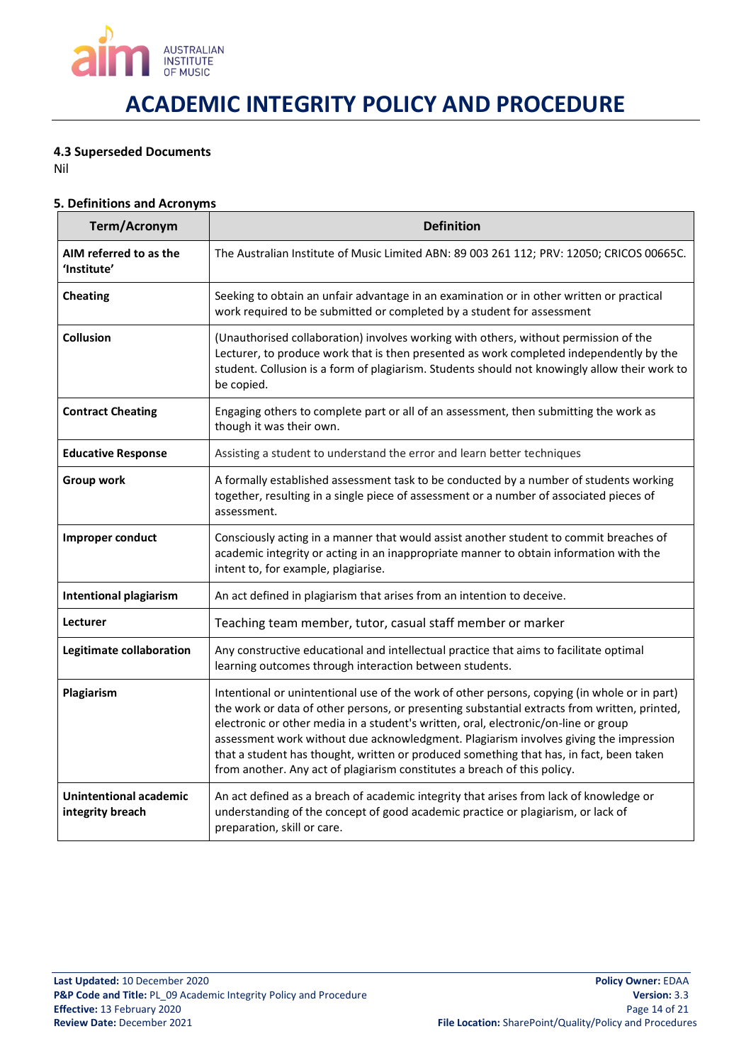

### **4.3 Superseded Documents**

Nil

### <span id="page-13-0"></span>**5. Definitions and Acronyms**

| Term/Acronym                                                                                                                                                                                                                                                                                                       | <b>Definition</b>                                                                                                                                                                                                                                                                                                                                                                                                                                                                                                                                   |  |
|--------------------------------------------------------------------------------------------------------------------------------------------------------------------------------------------------------------------------------------------------------------------------------------------------------------------|-----------------------------------------------------------------------------------------------------------------------------------------------------------------------------------------------------------------------------------------------------------------------------------------------------------------------------------------------------------------------------------------------------------------------------------------------------------------------------------------------------------------------------------------------------|--|
| AIM referred to as the<br>'Institute'                                                                                                                                                                                                                                                                              | The Australian Institute of Music Limited ABN: 89 003 261 112; PRV: 12050; CRICOS 00665C.                                                                                                                                                                                                                                                                                                                                                                                                                                                           |  |
| <b>Cheating</b>                                                                                                                                                                                                                                                                                                    | Seeking to obtain an unfair advantage in an examination or in other written or practical<br>work required to be submitted or completed by a student for assessment                                                                                                                                                                                                                                                                                                                                                                                  |  |
| <b>Collusion</b><br>(Unauthorised collaboration) involves working with others, without permission of the<br>Lecturer, to produce work that is then presented as work completed independently by the<br>student. Collusion is a form of plagiarism. Students should not knowingly allow their work to<br>be copied. |                                                                                                                                                                                                                                                                                                                                                                                                                                                                                                                                                     |  |
| <b>Contract Cheating</b>                                                                                                                                                                                                                                                                                           | Engaging others to complete part or all of an assessment, then submitting the work as<br>though it was their own.                                                                                                                                                                                                                                                                                                                                                                                                                                   |  |
| <b>Educative Response</b>                                                                                                                                                                                                                                                                                          | Assisting a student to understand the error and learn better techniques                                                                                                                                                                                                                                                                                                                                                                                                                                                                             |  |
| Group work                                                                                                                                                                                                                                                                                                         | A formally established assessment task to be conducted by a number of students working<br>together, resulting in a single piece of assessment or a number of associated pieces of<br>assessment.                                                                                                                                                                                                                                                                                                                                                    |  |
| Improper conduct                                                                                                                                                                                                                                                                                                   | Consciously acting in a manner that would assist another student to commit breaches of<br>academic integrity or acting in an inappropriate manner to obtain information with the<br>intent to, for example, plagiarise.                                                                                                                                                                                                                                                                                                                             |  |
| <b>Intentional plagiarism</b>                                                                                                                                                                                                                                                                                      | An act defined in plagiarism that arises from an intention to deceive.                                                                                                                                                                                                                                                                                                                                                                                                                                                                              |  |
| Lecturer                                                                                                                                                                                                                                                                                                           | Teaching team member, tutor, casual staff member or marker                                                                                                                                                                                                                                                                                                                                                                                                                                                                                          |  |
| Legitimate collaboration                                                                                                                                                                                                                                                                                           | Any constructive educational and intellectual practice that aims to facilitate optimal<br>learning outcomes through interaction between students.                                                                                                                                                                                                                                                                                                                                                                                                   |  |
| Plagiarism                                                                                                                                                                                                                                                                                                         | Intentional or unintentional use of the work of other persons, copying (in whole or in part)<br>the work or data of other persons, or presenting substantial extracts from written, printed,<br>electronic or other media in a student's written, oral, electronic/on-line or group<br>assessment work without due acknowledgment. Plagiarism involves giving the impression<br>that a student has thought, written or produced something that has, in fact, been taken<br>from another. Any act of plagiarism constitutes a breach of this policy. |  |
| <b>Unintentional academic</b><br>integrity breach                                                                                                                                                                                                                                                                  | An act defined as a breach of academic integrity that arises from lack of knowledge or<br>understanding of the concept of good academic practice or plagiarism, or lack of<br>preparation, skill or care.                                                                                                                                                                                                                                                                                                                                           |  |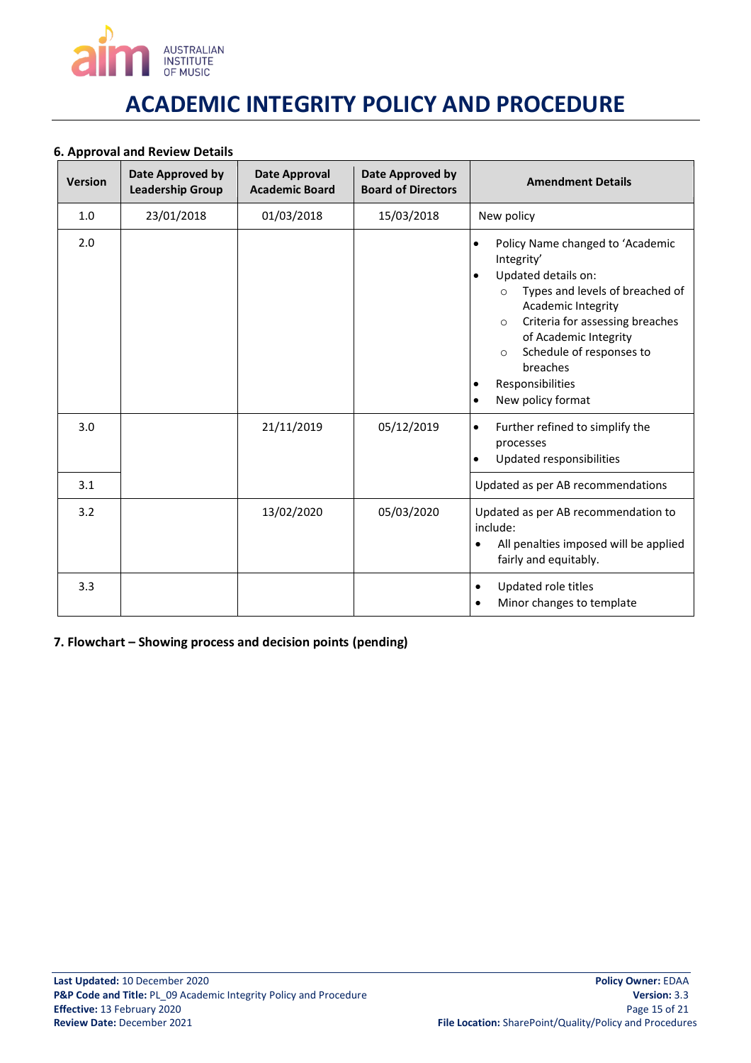

### <span id="page-14-0"></span>**6. Approval and Review Details**

| <b>Version</b> | Date Approved by<br><b>Leadership Group</b> | <b>Date Approval</b><br><b>Academic Board</b> | Date Approved by<br><b>Board of Directors</b> | <b>Amendment Details</b>                                                                                                                                                                                                                                                                                                                                 |
|----------------|---------------------------------------------|-----------------------------------------------|-----------------------------------------------|----------------------------------------------------------------------------------------------------------------------------------------------------------------------------------------------------------------------------------------------------------------------------------------------------------------------------------------------------------|
| 1.0            | 23/01/2018                                  | 01/03/2018                                    | 15/03/2018                                    | New policy                                                                                                                                                                                                                                                                                                                                               |
| 2.0            |                                             |                                               |                                               | Policy Name changed to 'Academic<br>$\bullet$<br>Integrity'<br>Updated details on:<br>$\bullet$<br>Types and levels of breached of<br>$\circ$<br>Academic Integrity<br>Criteria for assessing breaches<br>$\circ$<br>of Academic Integrity<br>Schedule of responses to<br>$\circ$<br>breaches<br>Responsibilities<br>٠<br>New policy format<br>$\bullet$ |
| 3.0            |                                             | 21/11/2019                                    | 05/12/2019                                    | Further refined to simplify the<br>$\bullet$<br>processes<br>Updated responsibilities                                                                                                                                                                                                                                                                    |
| 3.1            |                                             |                                               |                                               | Updated as per AB recommendations                                                                                                                                                                                                                                                                                                                        |
| 3.2            |                                             | 13/02/2020                                    | 05/03/2020                                    | Updated as per AB recommendation to<br>include:<br>All penalties imposed will be applied<br>$\bullet$<br>fairly and equitably.                                                                                                                                                                                                                           |
| 3.3            |                                             |                                               |                                               | Updated role titles<br>$\bullet$<br>Minor changes to template<br>$\bullet$                                                                                                                                                                                                                                                                               |

<span id="page-14-1"></span>**7. Flowchart – Showing process and decision points (pending)**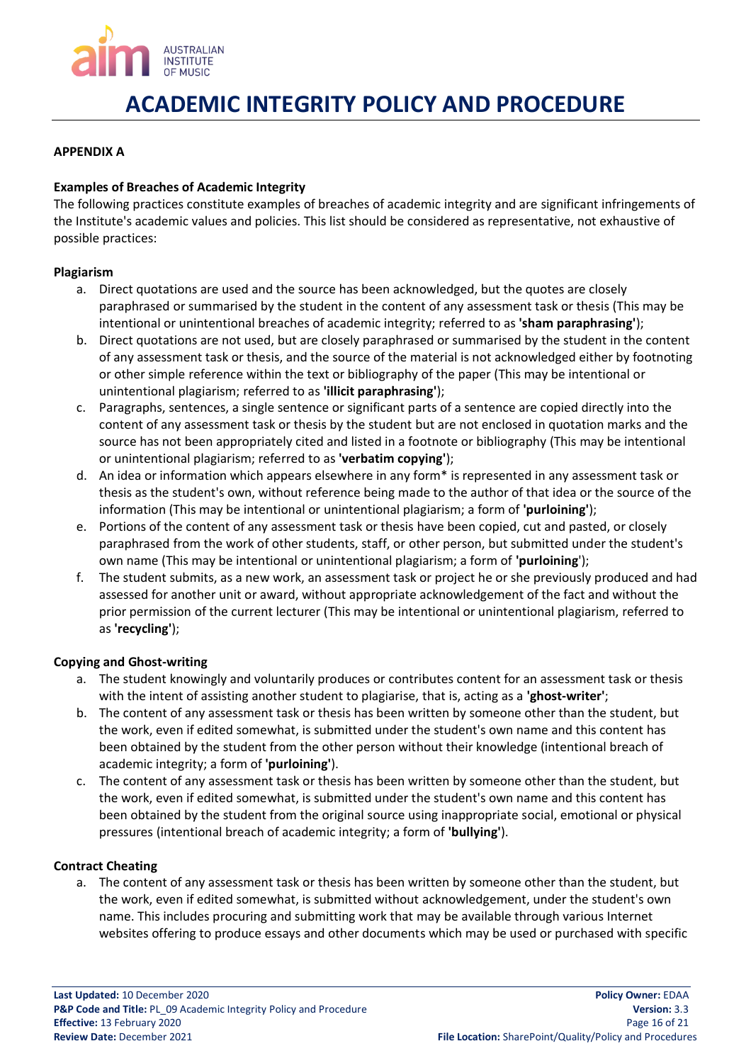

### <span id="page-15-0"></span>**APPENDIX A**

### **Examples of Breaches of Academic Integrity**

The following practices constitute examples of breaches of academic integrity and are significant infringements of the Institute's academic values and policies. This list should be considered as representative, not exhaustive of possible practices:

#### **Plagiarism**

- a. Direct quotations are used and the source has been acknowledged, but the quotes are closely paraphrased or summarised by the student in the content of any assessment task or thesis (This may be intentional or unintentional breaches of academic integrity; referred to as **'sham paraphrasing'**);
- b. Direct quotations are not used, but are closely paraphrased or summarised by the student in the content of any assessment task or thesis, and the source of the material is not acknowledged either by footnoting or other simple reference within the text or bibliography of the paper (This may be intentional or unintentional plagiarism; referred to as **'illicit paraphrasing'**);
- c. Paragraphs, sentences, a single sentence or significant parts of a sentence are copied directly into the content of any assessment task or thesis by the student but are not enclosed in quotation marks and the source has not been appropriately cited and listed in a footnote or bibliography (This may be intentional or unintentional plagiarism; referred to as **'verbatim copying'**);
- d. An idea or information which appears elsewhere in any form\* is represented in any assessment task or thesis as the student's own, without reference being made to the author of that idea or the source of the information (This may be intentional or unintentional plagiarism; a form of **'purloining'**);
- e. Portions of the content of any assessment task or thesis have been copied, cut and pasted, or closely paraphrased from the work of other students, staff, or other person, but submitted under the student's own name (This may be intentional or unintentional plagiarism; a form of **'purloining**');
- f. The student submits, as a new work, an assessment task or project he or she previously produced and had assessed for another unit or award, without appropriate acknowledgement of the fact and without the prior permission of the current lecturer (This may be intentional or unintentional plagiarism, referred to as **'recycling'**);

#### **Copying and Ghost-writing**

- a. The student knowingly and voluntarily produces or contributes content for an assessment task or thesis with the intent of assisting another student to plagiarise, that is, acting as a **'ghost-writer'**;
- b. The content of any assessment task or thesis has been written by someone other than the student, but the work, even if edited somewhat, is submitted under the student's own name and this content has been obtained by the student from the other person without their knowledge (intentional breach of academic integrity; a form of **'purloining'**).
- c. The content of any assessment task or thesis has been written by someone other than the student, but the work, even if edited somewhat, is submitted under the student's own name and this content has been obtained by the student from the original source using inappropriate social, emotional or physical pressures (intentional breach of academic integrity; a form of **'bullying'**).

#### **Contract Cheating**

a. The content of any assessment task or thesis has been written by someone other than the student, but the work, even if edited somewhat, is submitted without acknowledgement, under the student's own name. This includes procuring and submitting work that may be available through various Internet websites offering to produce essays and other documents which may be used or purchased with specific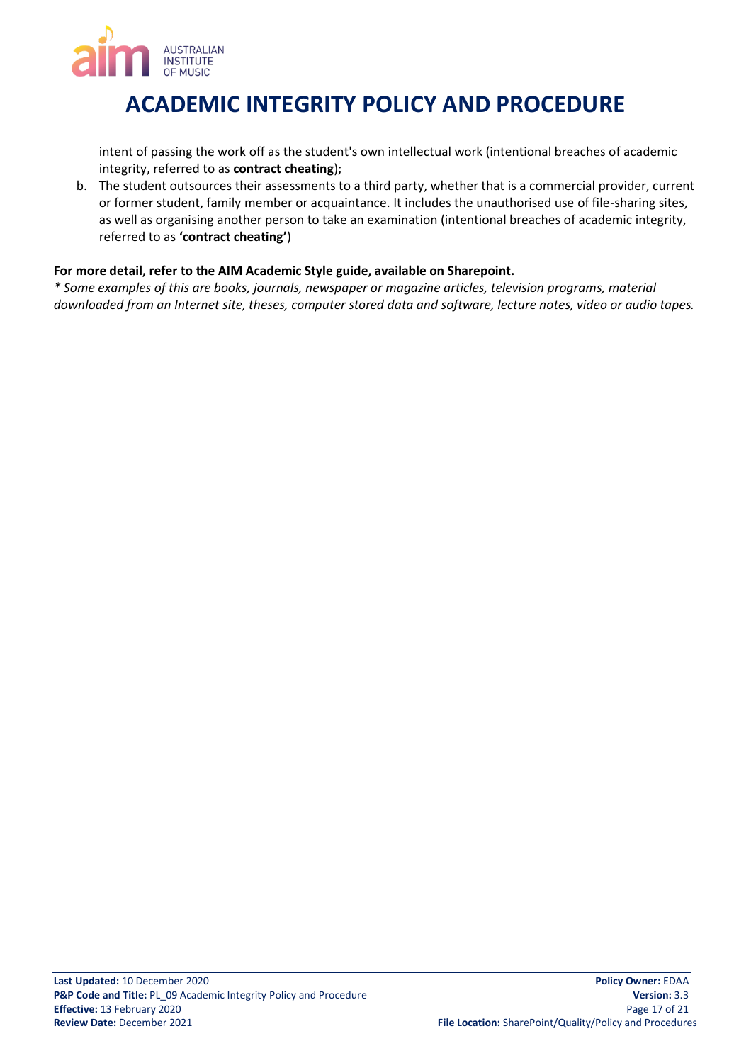

intent of passing the work off as the student's own intellectual work (intentional breaches of academic integrity, referred to as **contract cheating**);

b. The student outsources their assessments to a third party, whether that is a commercial provider, current or former student, family member or acquaintance. It includes the unauthorised use of file-sharing sites, as well as organising another person to take an examination (intentional breaches of academic integrity, referred to as **'contract cheating'**)

### **For more detail, refer to the AIM Academic Style guide, available on Sharepoint.**

*\* Some examples of this are books, journals, newspaper or magazine articles, television programs, material downloaded from an Internet site, theses, computer stored data and software, lecture notes, video or audio tapes.*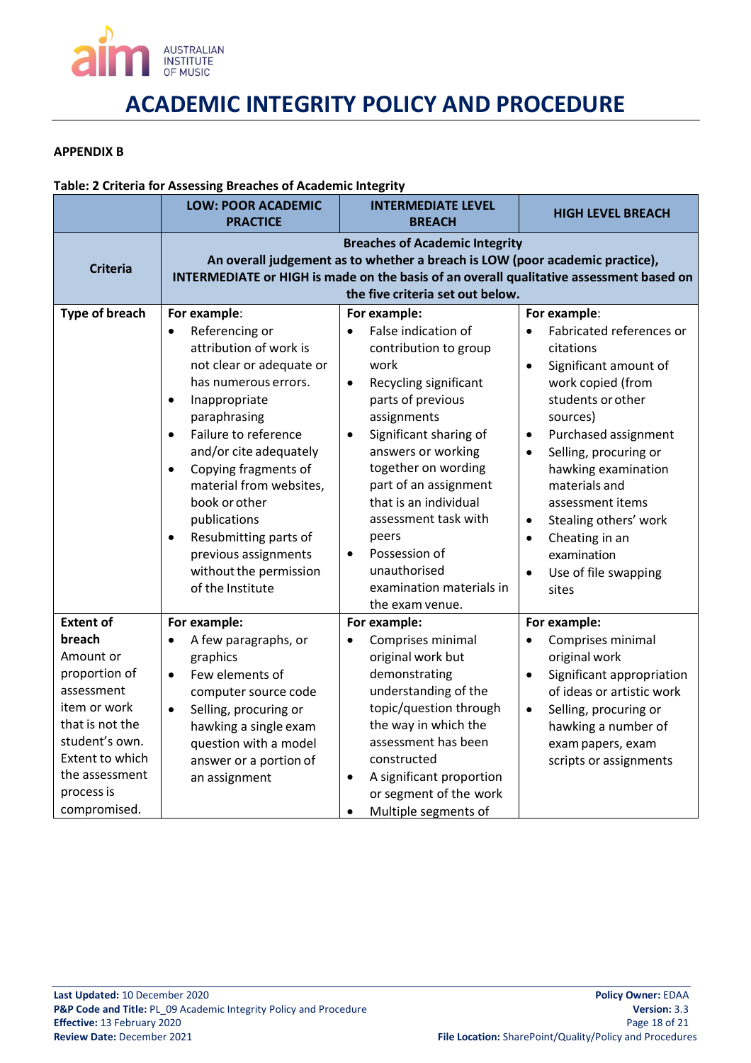

#### <span id="page-17-0"></span>**APPENDIX B**

#### **Table: 2 Criteria for Assessing Breaches of Academic Integrity**

|                                                                                                                                                                                                | <b>LOW: POOR ACADEMIC</b><br><b>PRACTICE</b>                                                                                                                                                                                                                                                                                                                                                                                                        | <b>INTERMEDIATE LEVEL</b><br><b>BREACH</b>                                                                                                                                                                                                                                                                                                                                                                                      | <b>HIGH LEVEL BREACH</b>                                                                                                                                                                                                                                                                                                                                                                                                   |
|------------------------------------------------------------------------------------------------------------------------------------------------------------------------------------------------|-----------------------------------------------------------------------------------------------------------------------------------------------------------------------------------------------------------------------------------------------------------------------------------------------------------------------------------------------------------------------------------------------------------------------------------------------------|---------------------------------------------------------------------------------------------------------------------------------------------------------------------------------------------------------------------------------------------------------------------------------------------------------------------------------------------------------------------------------------------------------------------------------|----------------------------------------------------------------------------------------------------------------------------------------------------------------------------------------------------------------------------------------------------------------------------------------------------------------------------------------------------------------------------------------------------------------------------|
| <b>Criteria</b>                                                                                                                                                                                |                                                                                                                                                                                                                                                                                                                                                                                                                                                     | <b>Breaches of Academic Integrity</b><br>An overall judgement as to whether a breach is LOW (poor academic practice),<br>INTERMEDIATE or HIGH is made on the basis of an overall qualitative assessment based on<br>the five criteria set out below.                                                                                                                                                                            |                                                                                                                                                                                                                                                                                                                                                                                                                            |
| <b>Type of breach</b>                                                                                                                                                                          | For example:<br>Referencing or<br>$\bullet$<br>attribution of work is<br>not clear or adequate or<br>has numerous errors.<br>Inappropriate<br>$\bullet$<br>paraphrasing<br>Failure to reference<br>$\bullet$<br>and/or cite adequately<br>Copying fragments of<br>$\bullet$<br>material from websites,<br>book or other<br>publications<br>Resubmitting parts of<br>$\bullet$<br>previous assignments<br>without the permission<br>of the Institute | For example:<br>False indication of<br>$\bullet$<br>contribution to group<br>work<br>Recycling significant<br>$\bullet$<br>parts of previous<br>assignments<br>Significant sharing of<br>$\bullet$<br>answers or working<br>together on wording<br>part of an assignment<br>that is an individual<br>assessment task with<br>peers<br>Possession of<br>$\bullet$<br>unauthorised<br>examination materials in<br>the exam venue. | For example:<br>Fabricated references or<br>citations<br>Significant amount of<br>$\bullet$<br>work copied (from<br>students or other<br>sources)<br>Purchased assignment<br>$\bullet$<br>Selling, procuring or<br>$\bullet$<br>hawking examination<br>materials and<br>assessment items<br>Stealing others' work<br>$\bullet$<br>Cheating in an<br>$\bullet$<br>examination<br>Use of file swapping<br>$\bullet$<br>sites |
| <b>Extent of</b><br>breach<br>Amount or<br>proportion of<br>assessment<br>item or work<br>that is not the<br>student's own.<br>Extent to which<br>the assessment<br>process is<br>compromised. | For example:<br>A few paragraphs, or<br>$\bullet$<br>graphics<br>Few elements of<br>$\bullet$<br>computer source code<br>Selling, procuring or<br>$\bullet$<br>hawking a single exam<br>question with a model<br>answer or a portion of<br>an assignment                                                                                                                                                                                            | For example:<br>Comprises minimal<br>$\bullet$<br>original work but<br>demonstrating<br>understanding of the<br>topic/question through<br>the way in which the<br>assessment has been<br>constructed<br>A significant proportion<br>$\bullet$<br>or segment of the work<br>Multiple segments of<br>$\bullet$                                                                                                                    | For example:<br>Comprises minimal<br>$\bullet$<br>original work<br>Significant appropriation<br>$\bullet$<br>of ideas or artistic work<br>Selling, procuring or<br>$\bullet$<br>hawking a number of<br>exam papers, exam<br>scripts or assignments                                                                                                                                                                         |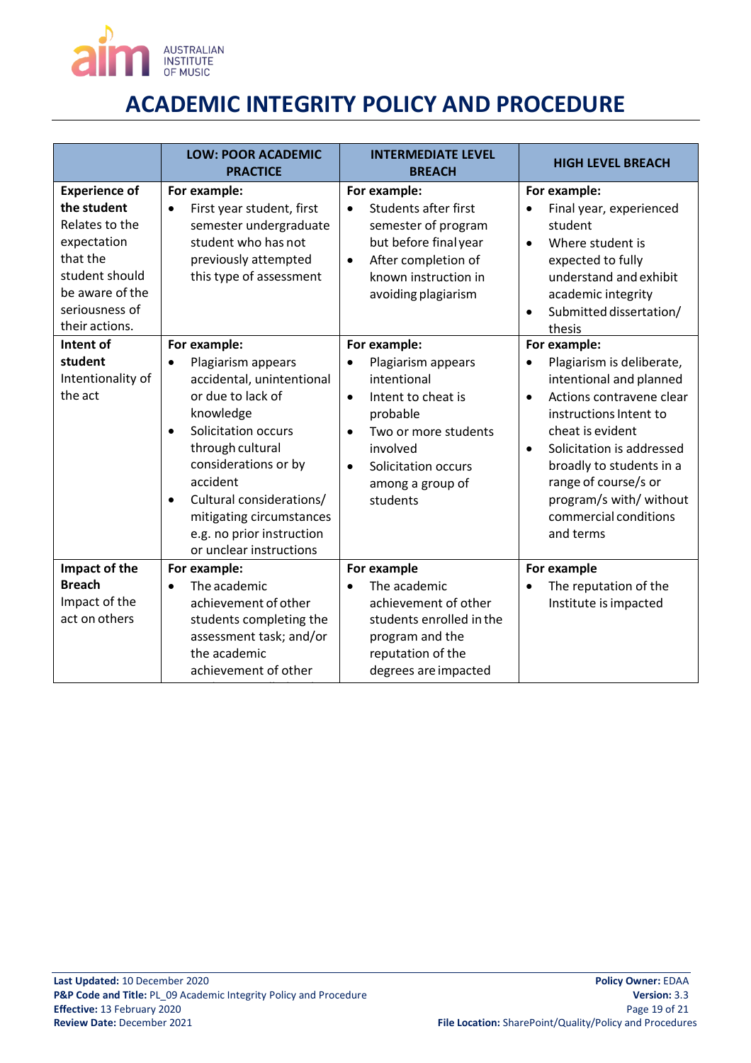

|                                                                                                                                                           | <b>LOW: POOR ACADEMIC</b><br><b>PRACTICE</b>                                                                                                                                                                                                                                                                               | <b>INTERMEDIATE LEVEL</b><br><b>BREACH</b>                                                                                                                                                                                         | <b>HIGH LEVEL BREACH</b>                                                                                                                                                                                                                                                                                                   |
|-----------------------------------------------------------------------------------------------------------------------------------------------------------|----------------------------------------------------------------------------------------------------------------------------------------------------------------------------------------------------------------------------------------------------------------------------------------------------------------------------|------------------------------------------------------------------------------------------------------------------------------------------------------------------------------------------------------------------------------------|----------------------------------------------------------------------------------------------------------------------------------------------------------------------------------------------------------------------------------------------------------------------------------------------------------------------------|
| <b>Experience of</b><br>the student<br>Relates to the<br>expectation<br>that the<br>student should<br>be aware of the<br>seriousness of<br>their actions. | For example:<br>First year student, first<br>semester undergraduate<br>student who has not<br>previously attempted<br>this type of assessment                                                                                                                                                                              | For example:<br><b>Students after first</b><br>$\bullet$<br>semester of program<br>but before final year<br>After completion of<br>$\bullet$<br>known instruction in<br>avoiding plagiarism                                        | For example:<br>Final year, experienced<br>student<br>Where student is<br>$\bullet$<br>expected to fully<br>understand and exhibit<br>academic integrity<br>Submitted dissertation/<br>thesis                                                                                                                              |
| Intent of<br>student<br>Intentionality of<br>the act                                                                                                      | For example:<br>Plagiarism appears<br>$\bullet$<br>accidental, unintentional<br>or due to lack of<br>knowledge<br>Solicitation occurs<br>through cultural<br>considerations or by<br>accident<br>Cultural considerations/<br>$\bullet$<br>mitigating circumstances<br>e.g. no prior instruction<br>or unclear instructions | For example:<br>Plagiarism appears<br>$\bullet$<br>intentional<br>Intent to cheat is<br>$\bullet$<br>probable<br>Two or more students<br>$\bullet$<br>involved<br>Solicitation occurs<br>$\bullet$<br>among a group of<br>students | For example:<br>Plagiarism is deliberate,<br>intentional and planned<br>Actions contravene clear<br>$\bullet$<br>instructions Intent to<br>cheat is evident<br>Solicitation is addressed<br>$\bullet$<br>broadly to students in a<br>range of course/s or<br>program/s with/ without<br>commercial conditions<br>and terms |
| Impact of the<br><b>Breach</b><br>Impact of the<br>act on others                                                                                          | For example:<br>The academic<br>$\bullet$<br>achievement of other<br>students completing the<br>assessment task; and/or<br>the academic<br>achievement of other                                                                                                                                                            | For example<br>The academic<br>achievement of other<br>students enrolled in the<br>program and the<br>reputation of the<br>degrees are impacted                                                                                    | For example<br>The reputation of the<br>Institute is impacted                                                                                                                                                                                                                                                              |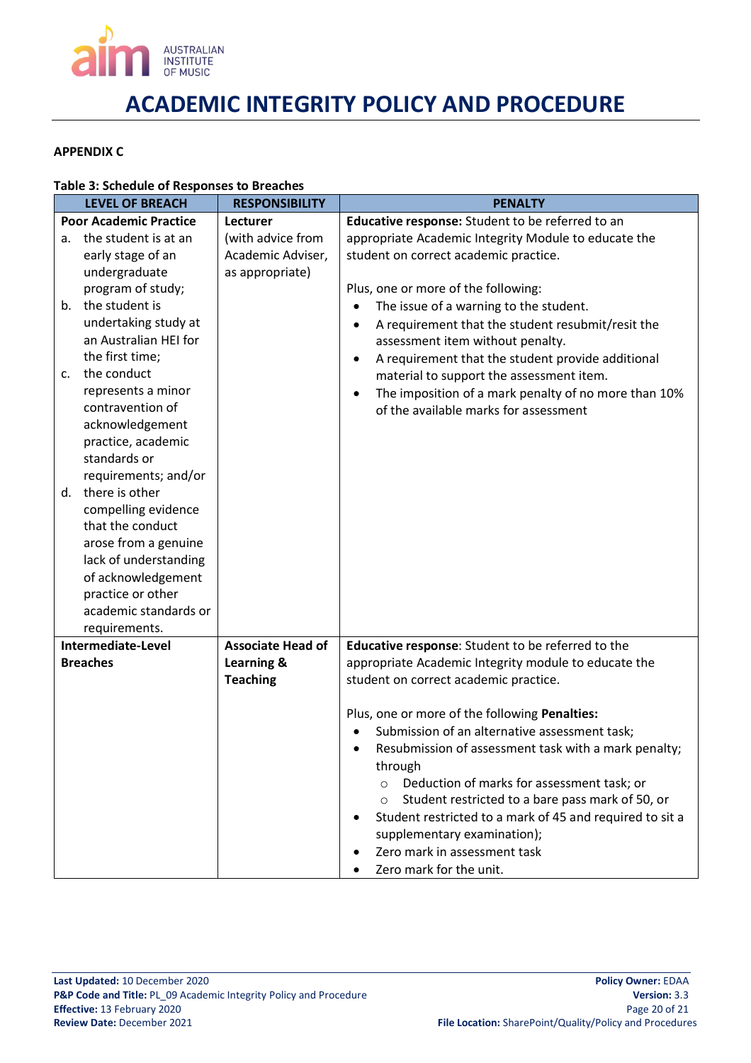

#### <span id="page-19-0"></span>**APPENDIX C**

### **Table 3: Schedule of Responses to Breaches**

|                | <b>LEVEL OF BREACH</b>        | <b>RESPONSIBILITY</b>    | <b>PENALTY</b>                                                    |
|----------------|-------------------------------|--------------------------|-------------------------------------------------------------------|
|                | <b>Poor Academic Practice</b> | Lecturer                 | Educative response: Student to be referred to an                  |
| а.             | the student is at an          | (with advice from        | appropriate Academic Integrity Module to educate the              |
|                | early stage of an             | Academic Adviser,        | student on correct academic practice.                             |
|                | undergraduate                 | as appropriate)          |                                                                   |
|                | program of study;             |                          | Plus, one or more of the following:                               |
|                | b. the student is             |                          | The issue of a warning to the student.                            |
|                | undertaking study at          |                          | A requirement that the student resubmit/resit the<br>$\bullet$    |
|                | an Australian HEI for         |                          | assessment item without penalty.                                  |
|                | the first time;               |                          | A requirement that the student provide additional                 |
| $\mathsf{c}$ . | the conduct                   |                          | material to support the assessment item.                          |
|                | represents a minor            |                          | The imposition of a mark penalty of no more than 10%              |
|                | contravention of              |                          | of the available marks for assessment                             |
|                | acknowledgement               |                          |                                                                   |
|                | practice, academic            |                          |                                                                   |
|                | standards or                  |                          |                                                                   |
|                | requirements; and/or          |                          |                                                                   |
|                | d. there is other             |                          |                                                                   |
|                | compelling evidence           |                          |                                                                   |
|                | that the conduct              |                          |                                                                   |
|                | arose from a genuine          |                          |                                                                   |
|                | lack of understanding         |                          |                                                                   |
|                | of acknowledgement            |                          |                                                                   |
|                | practice or other             |                          |                                                                   |
|                | academic standards or         |                          |                                                                   |
|                | requirements.                 |                          |                                                                   |
|                | Intermediate-Level            | <b>Associate Head of</b> | Educative response: Student to be referred to the                 |
|                | <b>Breaches</b>               | Learning &               | appropriate Academic Integrity module to educate the              |
|                |                               | <b>Teaching</b>          | student on correct academic practice.                             |
|                |                               |                          |                                                                   |
|                |                               |                          | Plus, one or more of the following Penalties:                     |
|                |                               |                          | Submission of an alternative assessment task;                     |
|                |                               |                          | Resubmission of assessment task with a mark penalty;<br>$\bullet$ |
|                |                               |                          | through                                                           |
|                |                               |                          | Deduction of marks for assessment task; or                        |
|                |                               |                          | Student restricted to a bare pass mark of 50, or                  |
|                |                               |                          | Student restricted to a mark of 45 and required to sit a          |
|                |                               |                          | supplementary examination);                                       |
|                |                               |                          | Zero mark in assessment task                                      |
|                |                               |                          | Zero mark for the unit.                                           |